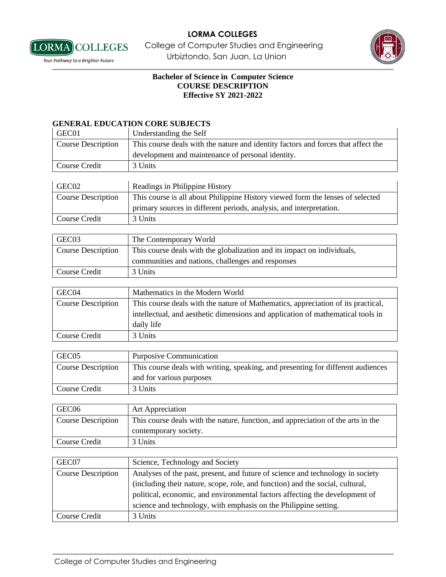

**LORMA** COLLEGES College of Computer Studies and Engineering **Vour Pathway to a Brighter Future Standard Expansion Urbiztondo, San Juan, La Union** 



# **Bachelor of Science in Computer Science COURSE DESCRIPTION Effective SY 2021-2022**

#### **GENERAL EDUCATION CORE SUBJECTS**

| GEC01                     | Understanding the Self                                                            |
|---------------------------|-----------------------------------------------------------------------------------|
| <b>Course Description</b> | This course deals with the nature and identity factors and forces that affect the |
|                           | development and maintenance of personal identity.                                 |
| Course Credit             | 3 Units                                                                           |

| GEC02                     | Readings in Philippine History                                                 |
|---------------------------|--------------------------------------------------------------------------------|
| <b>Course Description</b> | This course is all about Philippine History viewed form the lenses of selected |
|                           | primary sources in different periods, analysis, and interpretation.            |
| Course Credit             | 3 Units                                                                        |

| GEC <sub>03</sub>         | The Contemporary World                                                  |
|---------------------------|-------------------------------------------------------------------------|
| <b>Course Description</b> | This course deals with the globalization and its impact on individuals, |
|                           | communities and nations, challenges and responses                       |
| Course Credit             | 3 Units                                                                 |

| GEC04              | Mathematics in the Modern World                                                  |
|--------------------|----------------------------------------------------------------------------------|
| Course Description | This course deals with the nature of Mathematics, appreciation of its practical, |
|                    | intellectual, and aesthetic dimensions and application of mathematical tools in  |
|                    | daily life                                                                       |
| Course Credit      | 3 Units                                                                          |

| GEC <sub>05</sub>         | <b>Purposive Communication</b>                                                   |
|---------------------------|----------------------------------------------------------------------------------|
| <b>Course Description</b> | This course deals with writing, speaking, and presenting for different audiences |
|                           | and for various purposes                                                         |
| Course Credit             | 3 Units                                                                          |

| GEC <sub>06</sub>  | <b>Art Appreciation</b>                                                          |
|--------------------|----------------------------------------------------------------------------------|
| Course Description | This course deals with the nature, function, and appreciation of the arts in the |
|                    | contemporary society.                                                            |
| Course Credit      | 3 Units                                                                          |

| GEC07                     | Science, Technology and Society                                                |
|---------------------------|--------------------------------------------------------------------------------|
| <b>Course Description</b> | Analyses of the past, present, and future of science and technology in society |
|                           | (including their nature, scope, role, and function) and the social, cultural,  |
|                           | political, economic, and environmental factors affecting the development of    |
|                           | science and technology, with emphasis on the Philippine setting.               |
| Course Credit             | 3 Units                                                                        |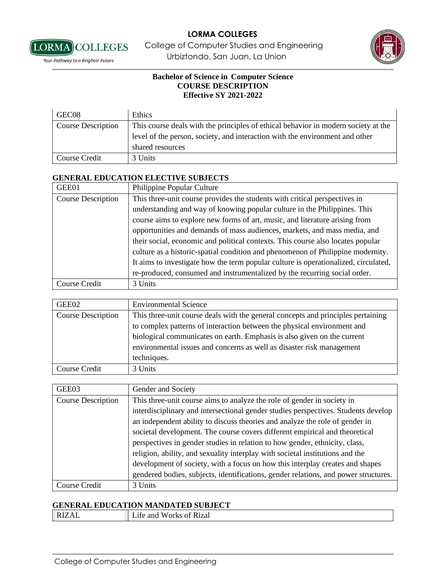

**LORMA** COLLEGES College of Computer Studies and Engineering **Vour Pathway to a Brighter Future Standard Expansion Urbiztondo, San Juan, La Union** 



## **Bachelor of Science in Computer Science COURSE DESCRIPTION Effective SY 2021-2022**

| GEC08                     | Ethics                                                                             |
|---------------------------|------------------------------------------------------------------------------------|
| <b>Course Description</b> | This course deals with the principles of ethical behavior in modern society at the |
|                           | level of the person, society, and interaction with the environment and other       |
|                           | shared resources                                                                   |
| Course Credit             | 3 Units                                                                            |

## **GENERAL EDUCATION ELECTIVE SUBJECTS**

| GEE01                     | Philippine Popular Culture                                                          |
|---------------------------|-------------------------------------------------------------------------------------|
| <b>Course Description</b> | This three-unit course provides the students with critical perspectives in          |
|                           | understanding and way of knowing popular culture in the Philippines. This           |
|                           | course aims to explore new forms of art, music, and literature arising from         |
|                           | opportunities and demands of mass audiences, markets, and mass media, and           |
|                           | their social, economic and political contexts. This course also locates popular     |
|                           | culture as a historic-spatial condition and phenomenon of Philippine modernity.     |
|                           | It aims to investigate how the term popular culture is operationalized, circulated, |
|                           | re-produced, consumed and instrumentalized by the recurring social order.           |
| Course Credit             | 3 Units                                                                             |

| GEE02                     | <b>Environmental Science</b>                                                     |
|---------------------------|----------------------------------------------------------------------------------|
| <b>Course Description</b> | This three-unit course deals with the general concepts and principles pertaining |
|                           | to complex patterns of interaction between the physical environment and          |
|                           | biological communicates on earth. Emphasis is also given on the current          |
|                           | environmental issues and concerns as well as disaster risk management            |
|                           | techniques.                                                                      |
| Course Credit             | 3 Units                                                                          |

| GEE03              | Gender and Society                                                                  |
|--------------------|-------------------------------------------------------------------------------------|
| Course Description | This three-unit course aims to analyze the role of gender in society in             |
|                    | interdisciplinary and intersectional gender studies perspectives. Students develop  |
|                    | an independent ability to discuss theories and analyze the role of gender in        |
|                    | societal development. The course covers different empirical and theoretical         |
|                    | perspectives in gender studies in relation to how gender, ethnicity, class,         |
|                    | religion, ability, and sexuality interplay with societal institutions and the       |
|                    | development of society, with a focus on how this interplay creates and shapes       |
|                    | gendered bodies, subjects, identifications, gender relations, and power structures. |
| Course Credit      | 3 Units                                                                             |

# **GENERAL EDUCATION MANDATED SUBJECT**

RIZAL Life and Works of Rizal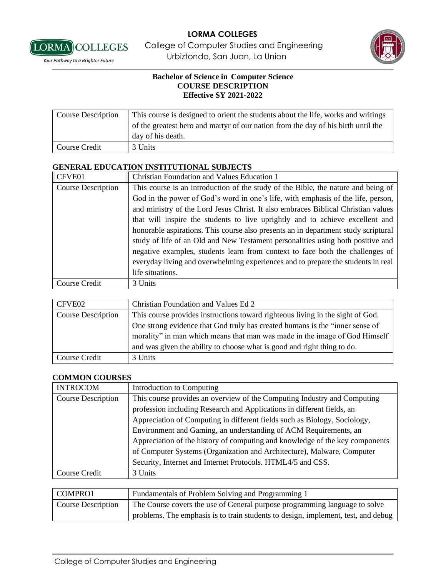

**LORMA** COLLEGES College of Computer Studies and Engineering **Vour Pathway to a Brighter Future Standard Expansion Urbiztondo, San Juan, La Union** 



#### **Bachelor of Science in Computer Science COURSE DESCRIPTION Effective SY 2021-2022**

| <b>Course Description</b> | This course is designed to orient the students about the life, works and writings |
|---------------------------|-----------------------------------------------------------------------------------|
|                           | of the greatest hero and martyr of our nation from the day of his birth until the |
|                           | day of his death.                                                                 |
| Course Credit             | 3 Units                                                                           |

## **GENERAL EDUCATION INSTITUTIONAL SUBJECTS**

| CFVE01                    | <b>Christian Foundation and Values Education 1</b>                                 |
|---------------------------|------------------------------------------------------------------------------------|
| <b>Course Description</b> | This course is an introduction of the study of the Bible, the nature and being of  |
|                           | God in the power of God's word in one's life, with emphasis of the life, person,   |
|                           | and ministry of the Lord Jesus Christ. It also embraces Biblical Christian values  |
|                           | that will inspire the students to live uprightly and to achieve excellent and      |
|                           | honorable aspirations. This course also presents an in department study scriptural |
|                           | study of life of an Old and New Testament personalities using both positive and    |
|                           | negative examples, students learn from context to face both the challenges of      |
|                           | everyday living and overwhelming experiences and to prepare the students in real   |
|                           | life situations.                                                                   |
| Course Credit             | 3 Units                                                                            |

| CFVE02             | Christian Foundation and Values Ed 2                                           |
|--------------------|--------------------------------------------------------------------------------|
| Course Description | This course provides instructions toward righteous living in the sight of God. |
|                    | One strong evidence that God truly has created humans is the "inner sense of   |
|                    | morality" in man which means that man was made in the image of God Himself     |
|                    | and was given the ability to choose what is good and right thing to do.        |
| Course Credit      | 3 Units                                                                        |

#### **COMMON COURSES**

| <b>INTROCOM</b>           | Introduction to Computing                                                    |
|---------------------------|------------------------------------------------------------------------------|
| <b>Course Description</b> | This course provides an overview of the Computing Industry and Computing     |
|                           | profession including Research and Applications in different fields, an       |
|                           | Appreciation of Computing in different fields such as Biology, Sociology,    |
|                           | Environment and Gaming, an understanding of ACM Requirements, an             |
|                           | Appreciation of the history of computing and knowledge of the key components |
|                           | of Computer Systems (Organization and Architecture), Malware, Computer       |
|                           | Security, Internet and Internet Protocols. HTML4/5 and CSS.                  |
| Course Credit             | 3 Units                                                                      |

| COMPRO1            | Fundamentals of Problem Solving and Programming 1                                 |
|--------------------|-----------------------------------------------------------------------------------|
| Course Description | The Course covers the use of General purpose programming language to solve        |
|                    | problems. The emphasis is to train students to design, implement, test, and debug |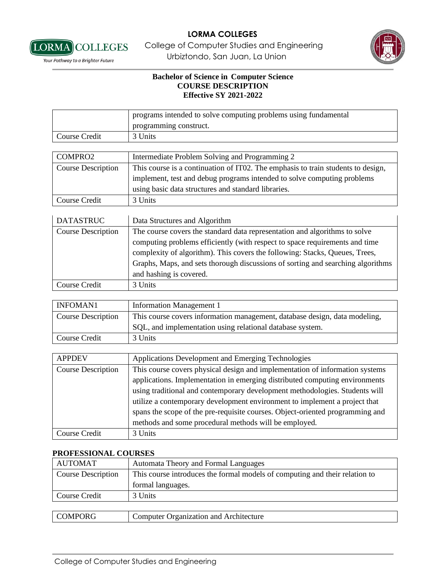

**LORMA** COLLEGES College of Computer Studies and Engineering **Vour Pathway to a Brighter Future Standard Expansion Urbiztondo, San Juan, La Union** 



### **Bachelor of Science in Computer Science COURSE DESCRIPTION Effective SY 2021-2022**

|                           | programs intended to solve computing problems using fundamental<br>programming construct. |
|---------------------------|-------------------------------------------------------------------------------------------|
| Course Credit             | 3 Units                                                                                   |
|                           |                                                                                           |
| COMPRO2                   | Intermediate Problem Solving and Programming 2                                            |
| <b>Course Description</b> | This course is a continuation of IT02. The emphasis to train students to design,          |
|                           | implement, test and debug programs intended to solve computing problems                   |
|                           | using basic data structures and standard libraries.                                       |
| Course Credit             | 3 Units                                                                                   |

| <b>DATASTRUC</b>          | Data Structures and Algorithm                                                   |
|---------------------------|---------------------------------------------------------------------------------|
| <b>Course Description</b> | The course covers the standard data representation and algorithms to solve      |
|                           | computing problems efficiently (with respect to space requirements and time     |
|                           | complexity of algorithm). This covers the following: Stacks, Queues, Trees,     |
|                           | Graphs, Maps, and sets thorough discussions of sorting and searching algorithms |
|                           | and hashing is covered.                                                         |
| Course Credit             | 3 Units                                                                         |

| <b>INFOMAN1</b>    | <b>Information Management 1</b>                                            |
|--------------------|----------------------------------------------------------------------------|
| Course Description | This course covers information management, database design, data modeling, |
|                    | SQL, and implementation using relational database system.                  |
| Course Credit      | 3 Units                                                                    |

| <b>APPDEV</b>             | Applications Development and Emerging Technologies                            |
|---------------------------|-------------------------------------------------------------------------------|
| <b>Course Description</b> | This course covers physical design and implementation of information systems  |
|                           | applications. Implementation in emerging distributed computing environments   |
|                           | using traditional and contemporary development methodologies. Students will   |
|                           | utilize a contemporary development environment to implement a project that    |
|                           | spans the scope of the pre-requisite courses. Object-oriented programming and |
|                           | methods and some procedural methods will be employed.                         |
| Course Credit             | 3 Units                                                                       |

#### **PROFESSIONAL COURSES**

| <b>AUTOMAT</b>            | Automata Theory and Formal Languages                                        |
|---------------------------|-----------------------------------------------------------------------------|
| <b>Course Description</b> | This course introduces the formal models of computing and their relation to |
|                           | formal languages.                                                           |
| Course Credit             | 3 Units                                                                     |
|                           |                                                                             |
| <b>COMPORG</b>            | Computer Organization and Architecture                                      |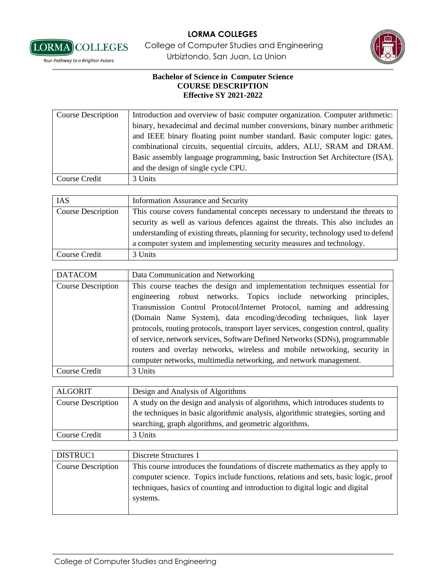

[LORMA] COLLEGES College of Computer Studies and Engineering **Vour Pathway to a Brighter Future Standard Expansion Urbiztondo, San Juan, La Union** 



| <b>Course Description</b> | Introduction and overview of basic computer organization. Computer arithmetic: |
|---------------------------|--------------------------------------------------------------------------------|
|                           | binary, hexadecimal and decimal number conversions, binary number arithmetic   |
|                           | and IEEE binary floating point number standard. Basic computer logic: gates,   |
|                           | combinational circuits, sequential circuits, adders, ALU, SRAM and DRAM.       |
|                           | Basic assembly language programming, basic Instruction Set Architecture (ISA), |
|                           | and the design of single cycle CPU.                                            |
| Course Credit             | 3 Units                                                                        |

| <b>IAS</b>                | <b>Information Assurance and Security</b>                                           |
|---------------------------|-------------------------------------------------------------------------------------|
| <b>Course Description</b> | This course covers fundamental concepts necessary to understand the threats to      |
|                           | security as well as various defences against the threats. This also includes an     |
|                           | understanding of existing threats, planning for security, technology used to defend |
|                           | a computer system and implementing security measures and technology.                |
| Course Credit             | 3 Units                                                                             |

| <b>DATACOM</b>            | Data Communication and Networking                                                                                                                                                                                                                                                                                                                                                                                                                                                                                                                     |
|---------------------------|-------------------------------------------------------------------------------------------------------------------------------------------------------------------------------------------------------------------------------------------------------------------------------------------------------------------------------------------------------------------------------------------------------------------------------------------------------------------------------------------------------------------------------------------------------|
| <b>Course Description</b> | This course teaches the design and implementation techniques essential for<br>engineering robust networks. Topics include networking principles,<br>Transmission Control Protocol/Internet Protocol, naming and addressing<br>(Domain Name System), data encoding/decoding techniques, link layer<br>protocols, routing protocols, transport layer services, congestion control, quality<br>of service, network services, Software Defined Networks (SDNs), programmable<br>routers and overlay networks, wireless and mobile networking, security in |
|                           | computer networks, multimedia networking, and network management.                                                                                                                                                                                                                                                                                                                                                                                                                                                                                     |
| Course Credit             | 3 Units                                                                                                                                                                                                                                                                                                                                                                                                                                                                                                                                               |

| <b>ALGORIT</b>            | Design and Analysis of Algorithms                                                 |
|---------------------------|-----------------------------------------------------------------------------------|
| <b>Course Description</b> | A study on the design and analysis of algorithms, which introduces students to    |
|                           | the techniques in basic algorithmic analysis, algorithmic strategies, sorting and |
|                           | searching, graph algorithms, and geometric algorithms.                            |
| Course Credit             | 3 Units                                                                           |

| DISTRUC1                  | Discrete Structures 1                                                              |
|---------------------------|------------------------------------------------------------------------------------|
| <b>Course Description</b> | This course introduces the foundations of discrete mathematics as they apply to    |
|                           | computer science. Topics include functions, relations and sets, basic logic, proof |
|                           | techniques, basics of counting and introduction to digital logic and digital       |
|                           | systems.                                                                           |
|                           |                                                                                    |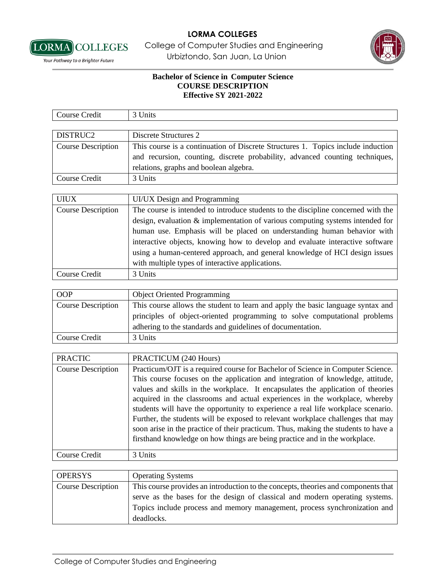

**LORMA** COLLEGES College of Computer Studies and Engineering **Vour Pathway to a Brighter Future Standard Expansion Urbiztondo, San Juan, La Union** 



| Course Credit             | 3 Units                                                                           |
|---------------------------|-----------------------------------------------------------------------------------|
|                           |                                                                                   |
| DISTRUC2                  | Discrete Structures 2                                                             |
| <b>Course Description</b> | This course is a continuation of Discrete Structures 1. Topics include induction  |
|                           | and recursion, counting, discrete probability, advanced counting techniques,      |
|                           | relations, graphs and boolean algebra.                                            |
| Course Credit             | 3 Units                                                                           |
|                           |                                                                                   |
| <b>UIUX</b>               | UI/UX Design and Programming                                                      |
| <b>Course Description</b> | The course is intended to introduce students to the discipline concerned with the |
|                           | design, evaluation $\&$ implementation of various computing systems intended for  |
|                           | human use. Emphasis will be placed on understanding human behavior with           |
|                           | interactive objects, knowing how to develop and evaluate interactive software     |
|                           | using a human-centered approach, and general knowledge of HCI design issues       |
|                           | with multiple types of interactive applications.                                  |
| Course Credit             | 3 Units                                                                           |

| <b>OOP</b>                | <b>Object Oriented Programming</b>                                              |
|---------------------------|---------------------------------------------------------------------------------|
| <b>Course Description</b> | This course allows the student to learn and apply the basic language syntax and |
|                           | principles of object-oriented programming to solve computational problems       |
|                           | adhering to the standards and guidelines of documentation.                      |
| Course Credit             | 3 Units                                                                         |

| <b>PRACTIC</b>            | PRACTICUM (240 Hours)                                                                                                                                                                                                                                                                                                                                                                                                                                                                                                                                                                                                                                                          |
|---------------------------|--------------------------------------------------------------------------------------------------------------------------------------------------------------------------------------------------------------------------------------------------------------------------------------------------------------------------------------------------------------------------------------------------------------------------------------------------------------------------------------------------------------------------------------------------------------------------------------------------------------------------------------------------------------------------------|
| <b>Course Description</b> | Practicum/OJT is a required course for Bachelor of Science in Computer Science.<br>This course focuses on the application and integration of knowledge, attitude,<br>values and skills in the workplace. It encapsulates the application of theories<br>acquired in the classrooms and actual experiences in the workplace, whereby<br>students will have the opportunity to experience a real life workplace scenario.<br>Further, the students will be exposed to relevant workplace challenges that may<br>soon arise in the practice of their practicum. Thus, making the students to have a<br>firsthand knowledge on how things are being practice and in the workplace. |
| Course Credit             | 3 Units                                                                                                                                                                                                                                                                                                                                                                                                                                                                                                                                                                                                                                                                        |

| <b>OPERSYS</b>            | <b>Operating Systems</b>                                                           |
|---------------------------|------------------------------------------------------------------------------------|
| <b>Course Description</b> | This course provides an introduction to the concepts, theories and components that |
|                           | serve as the bases for the design of classical and modern operating systems.       |
|                           | Topics include process and memory management, process synchronization and          |
|                           | deadlocks.                                                                         |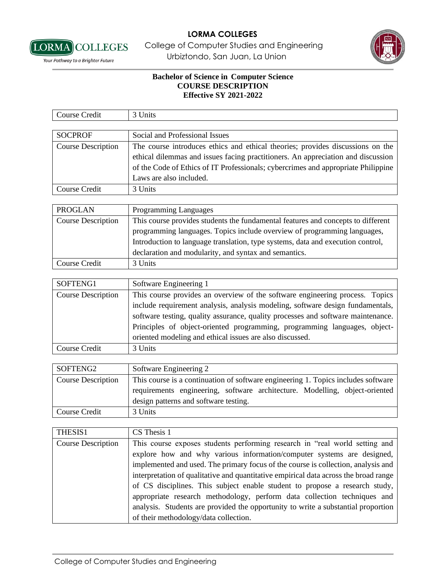

**LORMA** COLLEGES College of Computer Studies and Engineering **Vour Pathway to a Brighter Future Standard Expansion Urbiztondo, San Juan, La Union** 



| Course Credit             | 3 Units                                                                                                                                                                                                                                                                            |
|---------------------------|------------------------------------------------------------------------------------------------------------------------------------------------------------------------------------------------------------------------------------------------------------------------------------|
|                           |                                                                                                                                                                                                                                                                                    |
| <b>SOCPROF</b>            | Social and Professional Issues                                                                                                                                                                                                                                                     |
| <b>Course Description</b> | The course introduces ethics and ethical theories; provides discussions on the<br>ethical dilemmas and issues facing practitioners. An appreciation and discussion<br>of the Code of Ethics of IT Professionals; cybercrimes and appropriate Philippine<br>Laws are also included. |
| Course Credit             | 3 Units                                                                                                                                                                                                                                                                            |

| <b>PROGLAN</b>            | <b>Programming Languages</b>                                                     |
|---------------------------|----------------------------------------------------------------------------------|
| <b>Course Description</b> | This course provides students the fundamental features and concepts to different |
|                           | programming languages. Topics include overview of programming languages,         |
|                           | Introduction to language translation, type systems, data and execution control,  |
|                           | declaration and modularity, and syntax and semantics.                            |
| Course Credit             | 3 Units                                                                          |

| SOFTENG1           | Software Engineering 1                                                           |
|--------------------|----------------------------------------------------------------------------------|
| Course Description | This course provides an overview of the software engineering process. Topics     |
|                    | include requirement analysis, analysis modeling, software design fundamentals,   |
|                    | software testing, quality assurance, quality processes and software maintenance. |
|                    | Principles of object-oriented programming, programming languages, object-        |
|                    | oriented modeling and ethical issues are also discussed.                         |
| Course Credit      | 3 Units                                                                          |

| SOFTENG2                  | Software Engineering 2                                                            |
|---------------------------|-----------------------------------------------------------------------------------|
| <b>Course Description</b> | This course is a continuation of software engineering 1. Topics includes software |
|                           | requirements engineering, software architecture. Modelling, object-oriented       |
|                           | design patterns and software testing.                                             |
| Course Credit             | 3 Units                                                                           |

| THESIS1                   | CS Thesis 1                                                                          |
|---------------------------|--------------------------------------------------------------------------------------|
| <b>Course Description</b> | This course exposes students performing research in "real world setting and          |
|                           | explore how and why various information/computer systems are designed,               |
|                           | implemented and used. The primary focus of the course is collection, analysis and    |
|                           | interpretation of qualitative and quantitative empirical data across the broad range |
|                           | of CS disciplines. This subject enable student to propose a research study,          |
|                           | appropriate research methodology, perform data collection techniques and             |
|                           | analysis. Students are provided the opportunity to write a substantial proportion    |
|                           | of their methodology/data collection.                                                |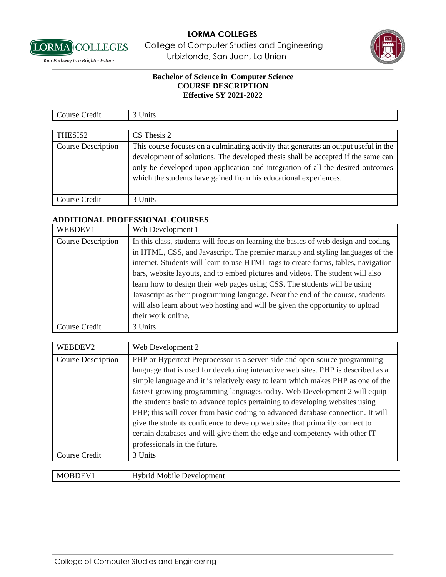

**LORMA** COLLEGES College of Computer Studies and Engineering **Vour Pathway to a Brighter Future Standard Expansion Urbiztondo, San Juan, La Union** 



## **Bachelor of Science in Computer Science COURSE DESCRIPTION Effective SY 2021-2022**

| $\sim$<br>$\cdot$ $\cdot$<br>'ourse<br>Credit | Jnıts |
|-----------------------------------------------|-------|
|                                               |       |

| THESIS2                   | CS Thesis 2                                                                                                                                                                                                                                                                                                                    |
|---------------------------|--------------------------------------------------------------------------------------------------------------------------------------------------------------------------------------------------------------------------------------------------------------------------------------------------------------------------------|
| <b>Course Description</b> | This course focuses on a culminating activity that generates an output useful in the<br>development of solutions. The developed thesis shall be accepted if the same can<br>only be developed upon application and integration of all the desired outcomes<br>which the students have gained from his educational experiences. |
|                           |                                                                                                                                                                                                                                                                                                                                |
| Course Credit             | 3 Units                                                                                                                                                                                                                                                                                                                        |

#### **ADDITIONAL PROFESSIONAL COURSES**

| WEBDEV1                   | Web Development 1                                                                  |
|---------------------------|------------------------------------------------------------------------------------|
| <b>Course Description</b> | In this class, students will focus on learning the basics of web design and coding |
|                           | in HTML, CSS, and Javascript. The premier markup and styling languages of the      |
|                           | internet. Students will learn to use HTML tags to create forms, tables, navigation |
|                           | bars, website layouts, and to embed pictures and videos. The student will also     |
|                           | learn how to design their web pages using CSS. The students will be using          |
|                           | Javascript as their programming language. Near the end of the course, students     |
|                           | will also learn about web hosting and will be given the opportunity to upload      |
|                           | their work online.                                                                 |
| Course Credit             | 3 Units                                                                            |

| WEBDEV2                   | Web Development 2                                                                 |
|---------------------------|-----------------------------------------------------------------------------------|
| <b>Course Description</b> | PHP or Hypertext Preprocessor is a server-side and open source programming        |
|                           | language that is used for developing interactive web sites. PHP is described as a |
|                           | simple language and it is relatively easy to learn which makes PHP as one of the  |
|                           | fastest-growing programming languages today. Web Development 2 will equip         |
|                           | the students basic to advance topics pertaining to developing websites using      |
|                           | PHP; this will cover from basic coding to advanced database connection. It will   |
|                           | give the students confidence to develop web sites that primarily connect to       |
|                           | certain databases and will give them the edge and competency with other IT        |
|                           | professionals in the future.                                                      |
| <b>Course Credit</b>      | 3 Units                                                                           |
|                           |                                                                                   |

| N/H<br>1 R I<br>$\mathbf{v}$ | . <del>.</del> 14.<br>neni<br>NЛ<br>IΑ<br>. 2000-<br>$\sim$ $\sim$ $\sim$<br>___ |
|------------------------------|----------------------------------------------------------------------------------|
|                              |                                                                                  |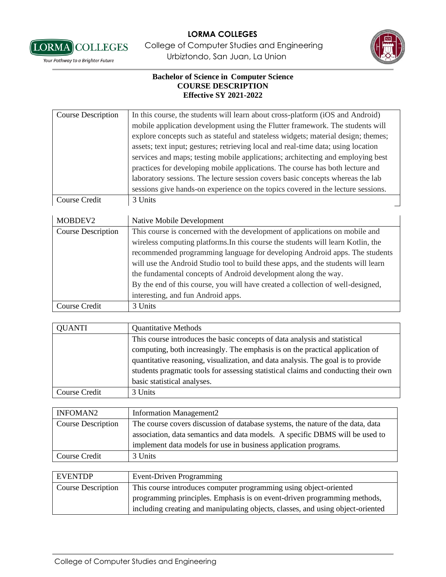

[LORMA] COLLEGES College of Computer Studies and Engineering **Vour Pathway to a Brighter Future Standard Expansion Urbiztondo, San Juan, La Union** 



| <b>Course Description</b> | In this course, the students will learn about cross-platform (iOS and Android)    |
|---------------------------|-----------------------------------------------------------------------------------|
|                           | mobile application development using the Flutter framework. The students will     |
|                           | explore concepts such as stateful and stateless widgets; material design; themes; |
|                           | assets; text input; gestures; retrieving local and real-time data; using location |
|                           | services and maps; testing mobile applications; architecting and employing best   |
|                           | practices for developing mobile applications. The course has both lecture and     |
|                           | laboratory sessions. The lecture session covers basic concepts whereas the lab    |
|                           | sessions give hands-on experience on the topics covered in the lecture sessions.  |
| Course Credit             | 3 Units                                                                           |

| MOBDEV2                   | Native Mobile Development                                                         |
|---------------------------|-----------------------------------------------------------------------------------|
| <b>Course Description</b> | This course is concerned with the development of applications on mobile and       |
|                           | wireless computing platforms. In this course the students will learn Kotlin, the  |
|                           | recommended programming language for developing Android apps. The students        |
|                           | will use the Android Studio tool to build these apps, and the students will learn |
|                           | the fundamental concepts of Android development along the way.                    |
|                           | By the end of this course, you will have created a collection of well-designed,   |
|                           | interesting, and fun Android apps.                                                |
| Course Credit             | 3 Units                                                                           |

| <b>QUANTI</b> | <b>Quantitative Methods</b>                                                        |
|---------------|------------------------------------------------------------------------------------|
|               | This course introduces the basic concepts of data analysis and statistical         |
|               | computing, both increasingly. The emphasis is on the practical application of      |
|               | quantitative reasoning, visualization, and data analysis. The goal is to provide   |
|               | students pragmatic tools for assessing statistical claims and conducting their own |
|               | basic statistical analyses.                                                        |
| Course Credit | 3 Units                                                                            |

| <b>INFOMAN2</b>           | <b>Information Management2</b>                                                 |
|---------------------------|--------------------------------------------------------------------------------|
| <b>Course Description</b> | The course covers discussion of database systems, the nature of the data, data |
|                           | association, data semantics and data models. A specific DBMS will be used to   |
|                           | implement data models for use in business application programs.                |
| Course Credit             | 3 Units                                                                        |
|                           |                                                                                |

| <b>EVENTDP</b>            | Event-Driven Programming                                                        |
|---------------------------|---------------------------------------------------------------------------------|
| <b>Course Description</b> | This course introduces computer programming using object-oriented               |
|                           | programming principles. Emphasis is on event-driven programming methods,        |
|                           | including creating and manipulating objects, classes, and using object-oriented |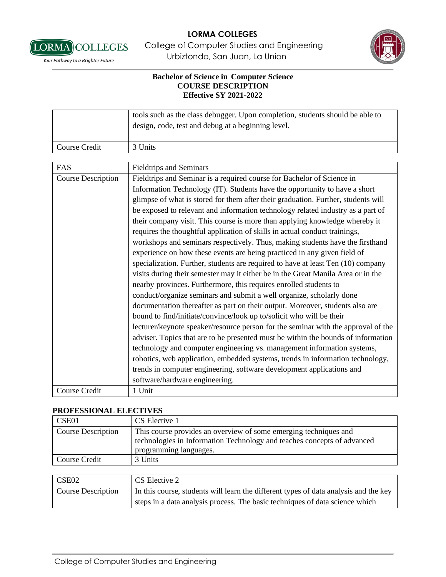

**LORMA** COLLEGES College of Computer Studies and Engineering **Vour Pathway to a Brighter Future Standard Expansion Urbiztondo, San Juan, La Union** 



## **Bachelor of Science in Computer Science COURSE DESCRIPTION Effective SY 2021-2022**

|                           | tools such as the class debugger. Upon completion, students should be able to<br>design, code, test and debug at a beginning level. |
|---------------------------|-------------------------------------------------------------------------------------------------------------------------------------|
| <b>Course Credit</b>      | 3 Units                                                                                                                             |
|                           |                                                                                                                                     |
| FAS                       | <b>Fieldtrips and Seminars</b>                                                                                                      |
| <b>Course Description</b> | Fieldtrips and Seminar is a required course for Bachelor of Science in                                                              |
|                           | Information Technology (IT). Students have the opportunity to have a short                                                          |
|                           | glimpse of what is stored for them after their graduation. Further, students will                                                   |
|                           | be exposed to relevant and information technology related industry as a part of                                                     |
|                           | their company visit. This course is more than applying knowledge whereby it                                                         |
|                           | requires the thoughtful application of skills in actual conduct trainings,                                                          |
|                           | workshops and seminars respectively. Thus, making students have the firsthand                                                       |
|                           | experience on how these events are being practiced in any given field of                                                            |
|                           | specialization. Further, students are required to have at least Ten (10) company                                                    |
|                           | visits during their semester may it either be in the Great Manila Area or in the                                                    |
|                           | nearby provinces. Furthermore, this requires enrolled students to                                                                   |
|                           | conduct/organize seminars and submit a well organize, scholarly done                                                                |
|                           | documentation thereafter as part on their output. Moreover, students also are                                                       |
|                           | bound to find/initiate/convince/look up to/solicit who will be their                                                                |
|                           | lecturer/keynote speaker/resource person for the seminar with the approval of the                                                   |
|                           | adviser. Topics that are to be presented must be within the bounds of information                                                   |
|                           | technology and computer engineering vs. management information systems,                                                             |
|                           | robotics, web application, embedded systems, trends in information technology,                                                      |
|                           | trends in computer engineering, software development applications and                                                               |
|                           | software/hardware engineering.                                                                                                      |
| Course Credit             | 1 Unit                                                                                                                              |

## **PROFESSIONAL ELECTIVES**

| CSE01                     | CS Elective 1                                                                                                                                                         |
|---------------------------|-----------------------------------------------------------------------------------------------------------------------------------------------------------------------|
| <b>Course Description</b> | This course provides an overview of some emerging techniques and<br>technologies in Information Technology and teaches concepts of advanced<br>programming languages. |
| Course Credit             | 3 Units                                                                                                                                                               |

| CSE02                     | CS Elective 2                                                                        |
|---------------------------|--------------------------------------------------------------------------------------|
| <b>Course Description</b> | In this course, students will learn the different types of data analysis and the key |
|                           | steps in a data analysis process. The basic techniques of data science which         |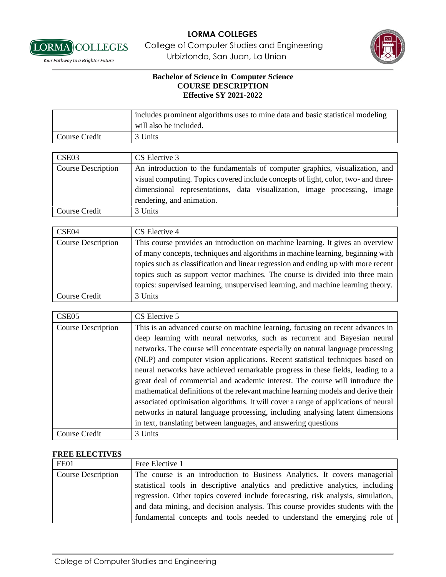

**LORMA** COLLEGES College of Computer Studies and Engineering **Vour Pathway to a Brighter Future Standard Expansion Urbiztondo, San Juan, La Union** 

## **Bachelor of Science in Computer Science COURSE DESCRIPTION Effective SY 2021-2022**

|               | includes prominent algorithms uses to mine data and basic statistical modeling<br>will also be included. |
|---------------|----------------------------------------------------------------------------------------------------------|
| Course Credit | 3 Units                                                                                                  |

| CSE <sub>03</sub>         | CS Elective 3                                                                                                                                                      |
|---------------------------|--------------------------------------------------------------------------------------------------------------------------------------------------------------------|
| <b>Course Description</b> | An introduction to the fundamentals of computer graphics, visualization, and<br>visual computing. Topics covered include concepts of light, color, two- and three- |
|                           | dimensional representations, data visualization, image processing, image<br>rendering, and animation.                                                              |
| Course Credit             | 3 Units                                                                                                                                                            |

| CSE04                     | CS Elective 4                                                                      |
|---------------------------|------------------------------------------------------------------------------------|
| <b>Course Description</b> | This course provides an introduction on machine learning. It gives an overview     |
|                           | of many concepts, techniques and algorithms in machine learning, beginning with    |
|                           | topics such as classification and linear regression and ending up with more recent |
|                           | topics such as support vector machines. The course is divided into three main      |
|                           | topics: supervised learning, unsupervised learning, and machine learning theory.   |
| Course Credit             | 3 Units                                                                            |

| CSE <sub>05</sub>  | CS Elective 5                                                                       |
|--------------------|-------------------------------------------------------------------------------------|
| Course Description | This is an advanced course on machine learning, focusing on recent advances in      |
|                    | deep learning with neural networks, such as recurrent and Bayesian neural           |
|                    | networks. The course will concentrate especially on natural language processing     |
|                    | (NLP) and computer vision applications. Recent statistical techniques based on      |
|                    | neural networks have achieved remarkable progress in these fields, leading to a     |
|                    | great deal of commercial and academic interest. The course will introduce the       |
|                    | mathematical definitions of the relevant machine learning models and derive their   |
|                    | associated optimisation algorithms. It will cover a range of applications of neural |
|                    | networks in natural language processing, including analysing latent dimensions      |
|                    | in text, translating between languages, and answering questions                     |
| Course Credit      | 3 Units                                                                             |

## **FREE ELECTIVES**

| FE01                      | Free Elective 1                                                                  |
|---------------------------|----------------------------------------------------------------------------------|
| <b>Course Description</b> | The course is an introduction to Business Analytics. It covers managerial        |
|                           | statistical tools in descriptive analytics and predictive analytics, including   |
|                           | regression. Other topics covered include forecasting, risk analysis, simulation, |
|                           | and data mining, and decision analysis. This course provides students with the   |
|                           | fundamental concepts and tools needed to understand the emerging role of         |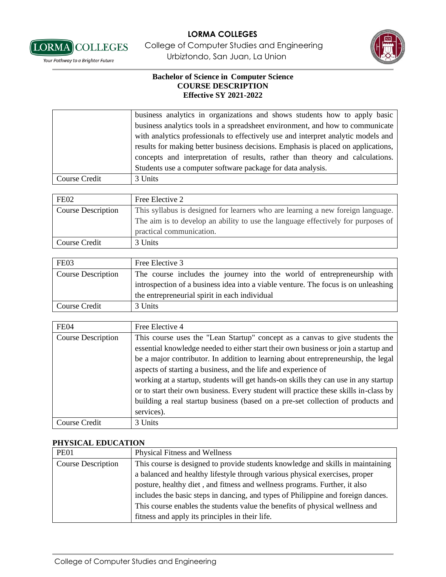

**LORMA** COLLEGES College of Computer Studies and Engineering **Vour Pathway to a Brighter Future Standard Expansion Urbiztondo, San Juan, La Union** 



## **Bachelor of Science in Computer Science COURSE DESCRIPTION Effective SY 2021-2022**

|               | business analytics in organizations and shows students how to apply basic         |
|---------------|-----------------------------------------------------------------------------------|
|               | business analytics tools in a spreadsheet environment, and how to communicate     |
|               | with analytics professionals to effectively use and interpret analytic models and |
|               | results for making better business decisions. Emphasis is placed on applications, |
|               | concepts and interpretation of results, rather than theory and calculations.      |
|               | Students use a computer software package for data analysis.                       |
| Course Credit | 3 Units                                                                           |

| FE <sub>02</sub>          | Free Elective 2                                                                  |
|---------------------------|----------------------------------------------------------------------------------|
| <b>Course Description</b> | This syllabus is designed for learners who are learning a new foreign language.  |
|                           | The aim is to develop an ability to use the language effectively for purposes of |
|                           | practical communication.                                                         |
| Course Credit             | 3 Units                                                                          |

| FE03               | Free Elective 3                                                                                                                                                                                                |
|--------------------|----------------------------------------------------------------------------------------------------------------------------------------------------------------------------------------------------------------|
| Course Description | The course includes the journey into the world of entrepreneurship with<br>introspection of a business idea into a viable venture. The focus is on unleashing<br>the entrepreneurial spirit in each individual |
| Course Credit      | 3 Units                                                                                                                                                                                                        |

| FE04                      | Free Elective 4                                                                                                                                                                                                                                                                                                                                |
|---------------------------|------------------------------------------------------------------------------------------------------------------------------------------------------------------------------------------------------------------------------------------------------------------------------------------------------------------------------------------------|
| <b>Course Description</b> | This course uses the "Lean Startup" concept as a canvas to give students the<br>essential knowledge needed to either start their own business or join a startup and<br>be a major contributor. In addition to learning about entrepreneurship, the legal                                                                                       |
|                           | aspects of starting a business, and the life and experience of<br>working at a startup, students will get hands-on skills they can use in any startup<br>or to start their own business. Every student will practice these skills in-class by<br>building a real startup business (based on a pre-set collection of products and<br>services). |
| Course Credit             | 3 Units                                                                                                                                                                                                                                                                                                                                        |

## **PHYSICAL EDUCATION**

| <b>PE01</b>               | <b>Physical Fitness and Wellness</b>                                             |
|---------------------------|----------------------------------------------------------------------------------|
| <b>Course Description</b> | This course is designed to provide students knowledge and skills in maintaining  |
|                           | a balanced and healthy lifestyle through various physical exercises, proper      |
|                           | posture, healthy diet, and fitness and wellness programs. Further, it also       |
|                           | includes the basic steps in dancing, and types of Philippine and foreign dances. |
|                           | This course enables the students value the benefits of physical wellness and     |
|                           | fitness and apply its principles in their life.                                  |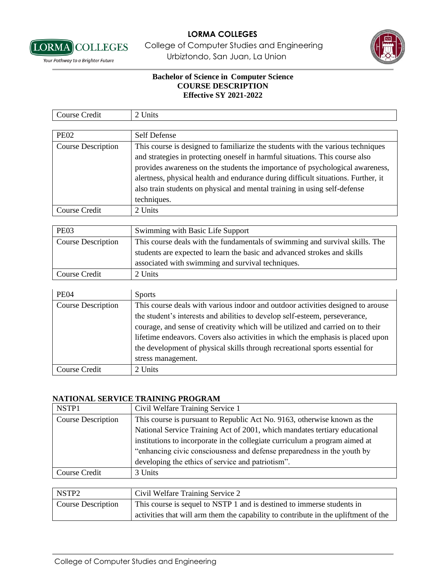

**LORMA** COLLEGES College of Computer Studies and Engineering **Vour Pathway to a Brighter Future Standard Expansion Urbiztondo, San Juan, La Union** 



a ka

## **Bachelor of Science in Computer Science COURSE DESCRIPTION Effective SY 2021-2022**

| Course Credit      | 2 Units                                                                           |
|--------------------|-----------------------------------------------------------------------------------|
|                    |                                                                                   |
| <b>PE02</b>        | <b>Self Defense</b>                                                               |
| Course Description | This course is designed to familiarize the students with the various techniques   |
|                    | and strategies in protecting oneself in harmful situations. This course also      |
|                    | provides awareness on the students the importance of psychological awareness,     |
|                    | alertness, physical health and endurance during difficult situations. Further, it |
|                    | also train students on physical and mental training in using self-defense         |
|                    | techniques.                                                                       |
| Course Credit      | 2 Units                                                                           |

| PE <sub>03</sub>   | Swimming with Basic Life Support                                             |
|--------------------|------------------------------------------------------------------------------|
| Course Description | This course deals with the fundamentals of swimming and survival skills. The |
|                    | students are expected to learn the basic and advanced strokes and skills     |
|                    | associated with swimming and survival techniques.                            |
| Course Credit      | 2 Units                                                                      |

| <b>PE04</b>               | <b>Sports</b>                                                                   |
|---------------------------|---------------------------------------------------------------------------------|
| <b>Course Description</b> | This course deals with various indoor and outdoor activities designed to arouse |
|                           | the student's interests and abilities to develop self-esteem, perseverance,     |
|                           | courage, and sense of creativity which will be utilized and carried on to their |
|                           | lifetime endeavors. Covers also activities in which the emphasis is placed upon |
|                           | the development of physical skills through recreational sports essential for    |
|                           | stress management.                                                              |
| Course Credit             | 2 Units                                                                         |

## **NATIONAL SERVICE TRAINING PROGRAM**

| NSTP1                     | Civil Welfare Training Service 1                                            |
|---------------------------|-----------------------------------------------------------------------------|
| <b>Course Description</b> | This course is pursuant to Republic Act No. 9163, otherwise known as the    |
|                           | National Service Training Act of 2001, which mandates tertiary educational  |
|                           | institutions to incorporate in the collegiate curriculum a program aimed at |
|                           | "enhancing civic consciousness and defense preparedness in the youth by     |
|                           | developing the ethics of service and patriotism".                           |
| Course Credit             | 3 Units                                                                     |

| NSTP <sub>2</sub>         | Civil Welfare Training Service 2                                                    |
|---------------------------|-------------------------------------------------------------------------------------|
| <b>Course Description</b> | This course is sequel to NSTP 1 and is destined to immerse students in              |
|                           | activities that will arm them the capability to contribute in the upliftment of the |